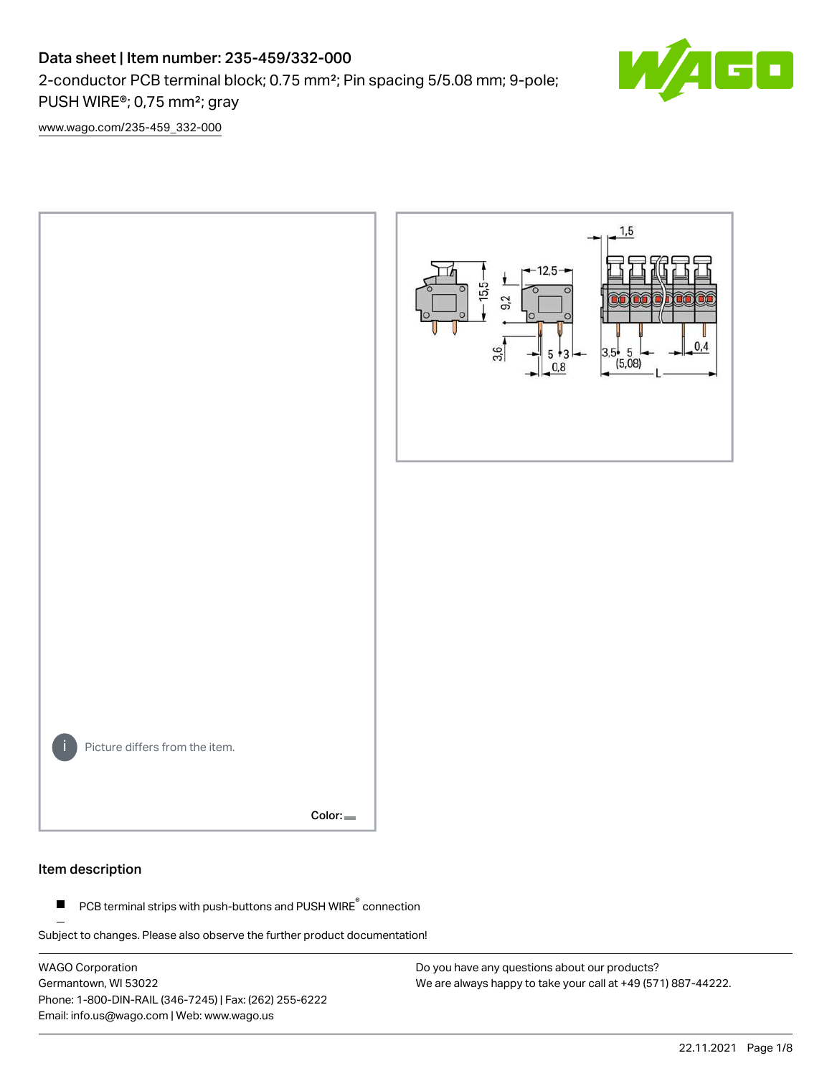# Data sheet | Item number: 235-459/332-000

2-conductor PCB terminal block; 0.75 mm²; Pin spacing 5/5.08 mm; 9-pole;

PUSH WIRE®; 0,75 mm²; gray

[www.wago.com/235-459\\_332-000](http://www.wago.com/235-459_332-000)



#### Item description

PCB terminal strips with push-buttons and PUSH WIRE<sup>®</sup> connection  $\blacksquare$ 

Subject to changes. Please also observe the further product documentation!

WAGO Corporation Germantown, WI 53022 Phone: 1-800-DIN-RAIL (346-7245) | Fax: (262) 255-6222 Email: info.us@wago.com | Web: www.wago.us

Do you have any questions about our products? We are always happy to take your call at +49 (571) 887-44222.  $\blacksquare$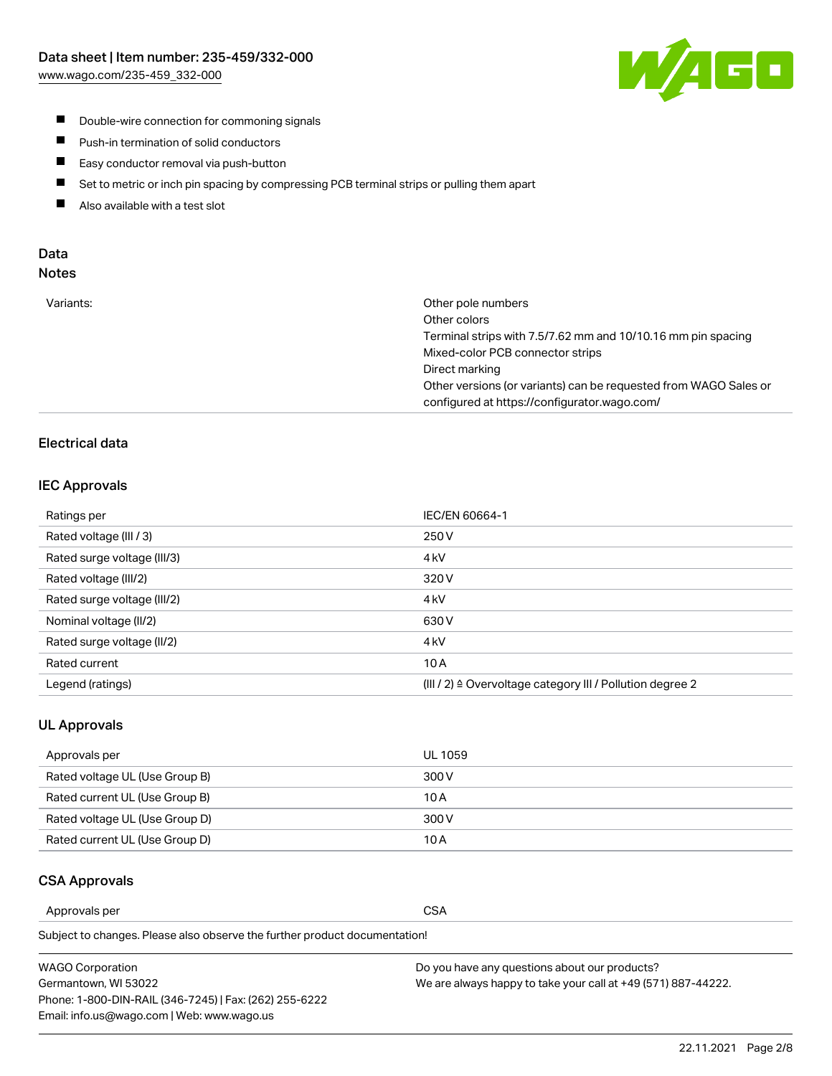

- **Double-wire connection for commoning signals**
- $\blacksquare$ Push-in termination of solid conductors
- Easy conductor removal via push-button  $\blacksquare$
- $\blacksquare$ Set to metric or inch pin spacing by compressing PCB terminal strips or pulling them apart
- $\blacksquare$ Also available with a test slot

#### Data Notes

| Variants: | Other pole numbers                                               |
|-----------|------------------------------------------------------------------|
|           | Other colors                                                     |
|           | Terminal strips with 7.5/7.62 mm and 10/10.16 mm pin spacing     |
|           | Mixed-color PCB connector strips                                 |
|           | Direct marking                                                   |
|           | Other versions (or variants) can be requested from WAGO Sales or |
|           | configured at https://configurator.wago.com/                     |
|           |                                                                  |

### Electrical data

#### IEC Approvals

| Ratings per                 | IEC/EN 60664-1                                                        |
|-----------------------------|-----------------------------------------------------------------------|
| Rated voltage (III / 3)     | 250 V                                                                 |
| Rated surge voltage (III/3) | 4 <sub>k</sub> V                                                      |
| Rated voltage (III/2)       | 320 V                                                                 |
| Rated surge voltage (III/2) | 4 <sub>kV</sub>                                                       |
| Nominal voltage (II/2)      | 630 V                                                                 |
| Rated surge voltage (II/2)  | 4 <sub>k</sub> V                                                      |
| Rated current               | 10A                                                                   |
| Legend (ratings)            | $(III / 2)$ $\triangle$ Overvoltage category III / Pollution degree 2 |

#### UL Approvals

| Approvals per                  | UL 1059 |
|--------------------------------|---------|
| Rated voltage UL (Use Group B) | 300 V   |
| Rated current UL (Use Group B) | 10 A    |
| Rated voltage UL (Use Group D) | 300 V   |
| Rated current UL (Use Group D) | 10 A    |

#### CSA Approvals

Approvals per CSA

Subject to changes. Please also observe the further product documentation!

| WAGO Corporation                                       | Do you have any questions about our products?                 |
|--------------------------------------------------------|---------------------------------------------------------------|
| Germantown, WI 53022                                   | We are always happy to take your call at +49 (571) 887-44222. |
| Phone: 1-800-DIN-RAIL (346-7245)   Fax: (262) 255-6222 |                                                               |
| Email: info.us@wago.com   Web: www.wago.us             |                                                               |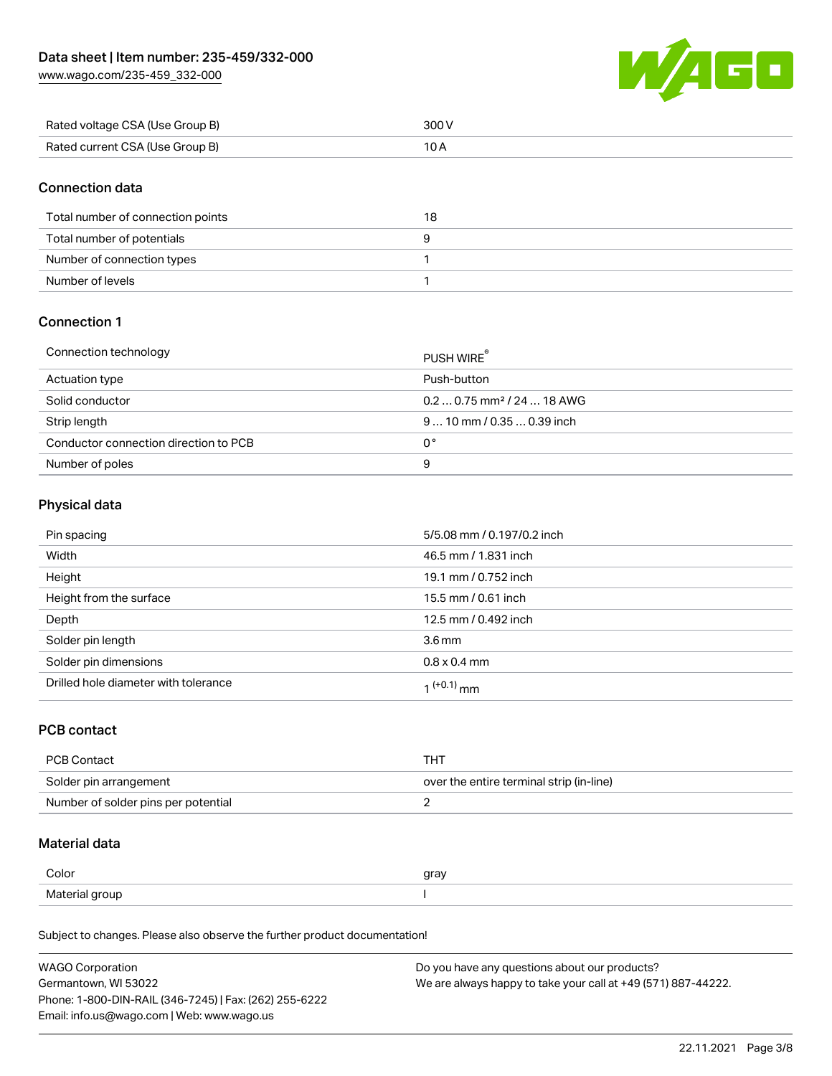[www.wago.com/235-459\\_332-000](http://www.wago.com/235-459_332-000)



| Rated voltage CSA (Use Group B) | 300 V |
|---------------------------------|-------|
| Rated current CSA (Use Group B) |       |

### Connection data

| Total number of connection points | 18 |
|-----------------------------------|----|
| Total number of potentials        |    |
| Number of connection types        |    |
| Number of levels                  |    |

### Connection 1

| Connection technology                 | PUSH WIRE <sup>®</sup>                 |
|---------------------------------------|----------------------------------------|
| Actuation type                        | Push-button                            |
| Solid conductor                       | $0.20.75$ mm <sup>2</sup> / 24  18 AWG |
| Strip length                          | $910$ mm $/0.350.39$ inch              |
| Conductor connection direction to PCB | 0°                                     |
| Number of poles                       | 9                                      |

#### Physical data

| Pin spacing                          | 5/5.08 mm / 0.197/0.2 inch |
|--------------------------------------|----------------------------|
| Width                                | 46.5 mm / 1.831 inch       |
| Height                               | 19.1 mm / 0.752 inch       |
| Height from the surface              | 15.5 mm / 0.61 inch        |
| Depth                                | 12.5 mm / 0.492 inch       |
| Solder pin length                    | 3.6 <sub>mm</sub>          |
| Solder pin dimensions                | $0.8 \times 0.4$ mm        |
| Drilled hole diameter with tolerance | $1^{(+0.1)}$ mm            |

#### PCB contact

| <b>PCB Contact</b>                  | тнт                                      |
|-------------------------------------|------------------------------------------|
| Solder pin arrangement              | over the entire terminal strip (in-line) |
| Number of solder pins per potential |                                          |

#### Material data

| Color          | gray |
|----------------|------|
| Material group |      |

Subject to changes. Please also observe the further product documentation!

| <b>WAGO Corporation</b>                                | Do you have any questions about our products?                 |
|--------------------------------------------------------|---------------------------------------------------------------|
| Germantown, WI 53022                                   | We are always happy to take your call at +49 (571) 887-44222. |
| Phone: 1-800-DIN-RAIL (346-7245)   Fax: (262) 255-6222 |                                                               |
| Email: info.us@wago.com   Web: www.wago.us             |                                                               |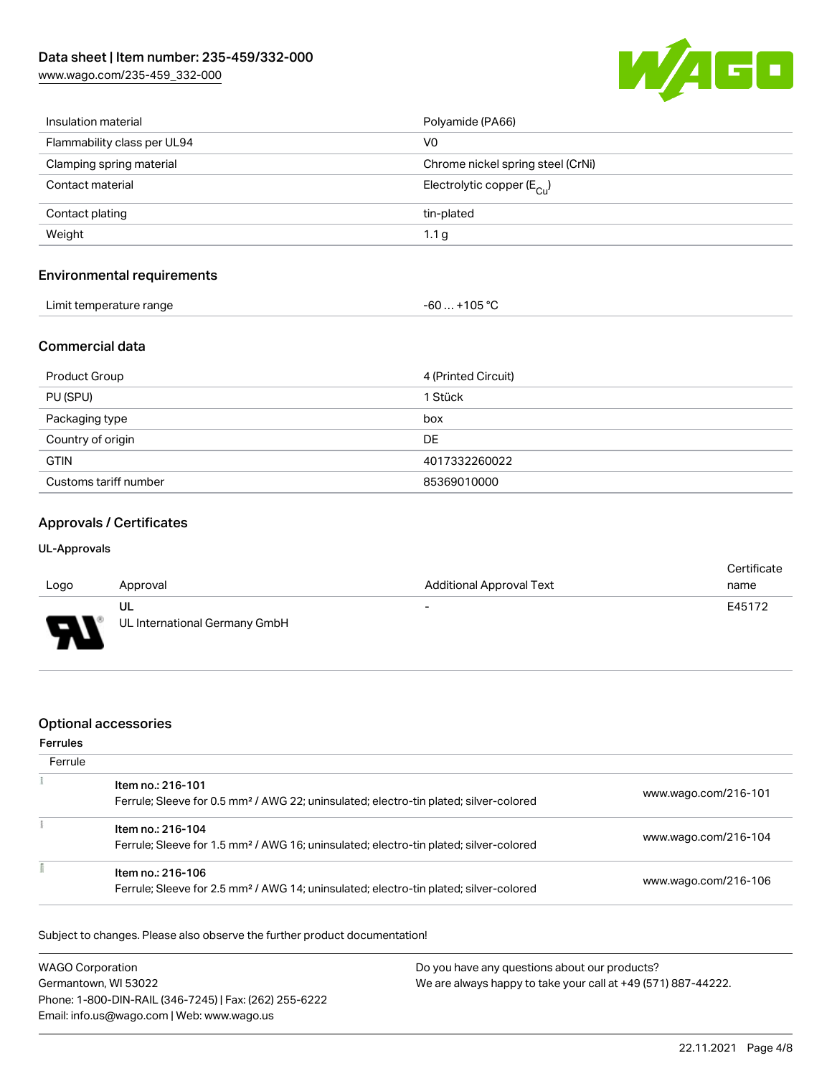[www.wago.com/235-459\\_332-000](http://www.wago.com/235-459_332-000)



| Insulation material         | Polyamide (PA66)                      |
|-----------------------------|---------------------------------------|
| Flammability class per UL94 | V0                                    |
| Clamping spring material    | Chrome nickel spring steel (CrNi)     |
| Contact material            | Electrolytic copper $(E_{\text{Cl}})$ |
| Contact plating             | tin-plated                            |
| Weight                      | 1.1 <sub>g</sub>                      |
|                             |                                       |

#### Environmental requirements

| Limit temperature range<br>. | 105 °C<br>-61<br>$\sim$ $\sim$ $\sim$ $\sim$ $\sim$ $\sim$ |
|------------------------------|------------------------------------------------------------|
|------------------------------|------------------------------------------------------------|

### Commercial data

| Product Group         | 4 (Printed Circuit) |
|-----------------------|---------------------|
| PU (SPU)              | 1 Stück             |
| Packaging type        | box                 |
| Country of origin     | DE                  |
| <b>GTIN</b>           | 4017332260022       |
| Customs tariff number | 85369010000         |

## Approvals / Certificates

#### UL-Approvals

|          |                               |                                 | Certificate |
|----------|-------------------------------|---------------------------------|-------------|
| Logo     | Approval                      | <b>Additional Approval Text</b> | name        |
|          | UL                            | $\overline{\phantom{0}}$        | E45172      |
| Б<br>. . | UL International Germany GmbH |                                 |             |

### Optional accessories

#### Ferrules

| Ferrule |                                                                                                                        |                      |
|---------|------------------------------------------------------------------------------------------------------------------------|----------------------|
|         | Item no.: 216-101<br>Ferrule; Sleeve for 0.5 mm <sup>2</sup> / AWG 22; uninsulated; electro-tin plated; silver-colored | www.wago.com/216-101 |
|         | Item no.: 216-104<br>Ferrule; Sleeve for 1.5 mm <sup>2</sup> / AWG 16; uninsulated; electro-tin plated; silver-colored | www.wago.com/216-104 |
|         | Item no.: 216-106<br>Ferrule; Sleeve for 2.5 mm <sup>2</sup> / AWG 14; uninsulated; electro-tin plated; silver-colored | www.wago.com/216-106 |

Subject to changes. Please also observe the further product documentation!

| <b>WAGO Corporation</b>                                | Do you have any questions about our products?                 |
|--------------------------------------------------------|---------------------------------------------------------------|
| Germantown, WI 53022                                   | We are always happy to take your call at +49 (571) 887-44222. |
| Phone: 1-800-DIN-RAIL (346-7245)   Fax: (262) 255-6222 |                                                               |
| Email: info.us@wago.com   Web: www.wago.us             |                                                               |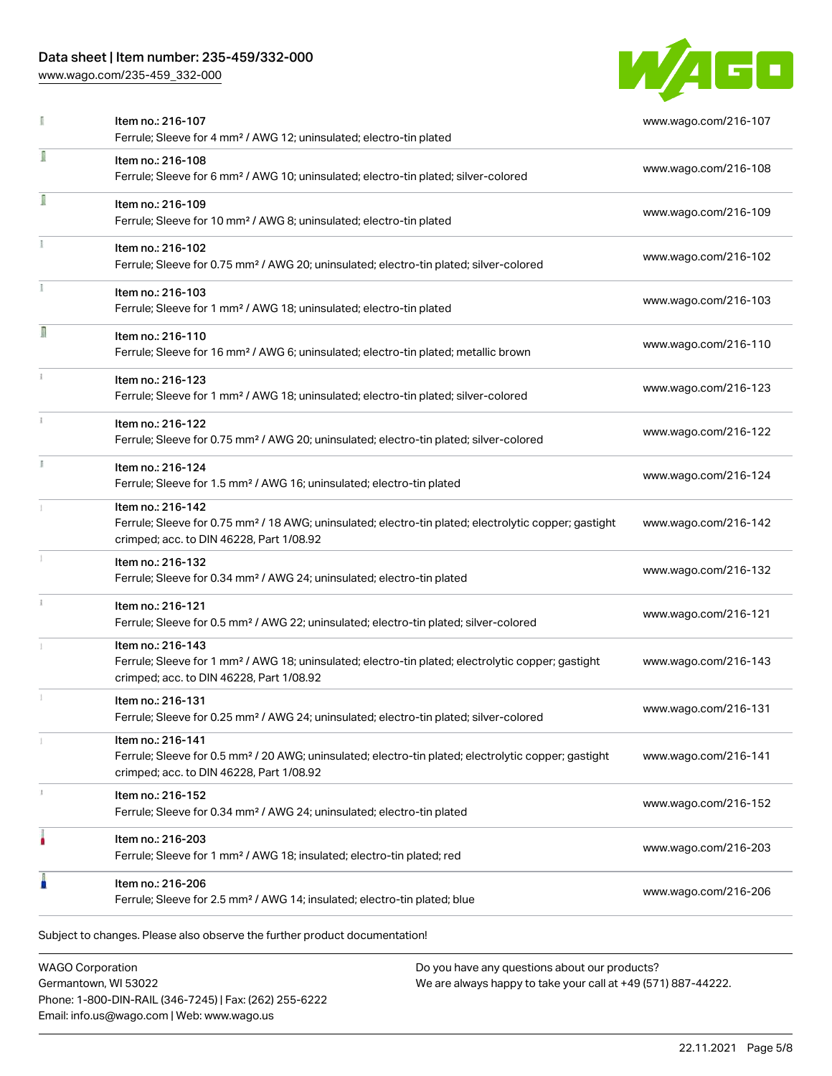### Data sheet | Item number: 235-459/332-000

[www.wago.com/235-459\\_332-000](http://www.wago.com/235-459_332-000)



|    | Item no.: 216-107<br>Ferrule; Sleeve for 4 mm <sup>2</sup> / AWG 12; uninsulated; electro-tin plated                                                                               | www.wago.com/216-107 |
|----|------------------------------------------------------------------------------------------------------------------------------------------------------------------------------------|----------------------|
| I  | Item no.: 216-108<br>Ferrule; Sleeve for 6 mm <sup>2</sup> / AWG 10; uninsulated; electro-tin plated; silver-colored                                                               | www.wago.com/216-108 |
| I  | Item no.: 216-109<br>Ferrule; Sleeve for 10 mm <sup>2</sup> / AWG 8; uninsulated; electro-tin plated                                                                               | www.wago.com/216-109 |
|    | Item no.: 216-102<br>Ferrule; Sleeve for 0.75 mm <sup>2</sup> / AWG 20; uninsulated; electro-tin plated; silver-colored                                                            | www.wago.com/216-102 |
|    | Item no.: 216-103<br>Ferrule; Sleeve for 1 mm <sup>2</sup> / AWG 18; uninsulated; electro-tin plated                                                                               | www.wago.com/216-103 |
| R  | Item no.: 216-110<br>Ferrule; Sleeve for 16 mm <sup>2</sup> / AWG 6; uninsulated; electro-tin plated; metallic brown                                                               | www.wago.com/216-110 |
| ī. | Item no.: 216-123<br>Ferrule; Sleeve for 1 mm <sup>2</sup> / AWG 18; uninsulated; electro-tin plated; silver-colored                                                               | www.wago.com/216-123 |
|    | Item no.: 216-122<br>Ferrule; Sleeve for 0.75 mm <sup>2</sup> / AWG 20; uninsulated; electro-tin plated; silver-colored                                                            | www.wago.com/216-122 |
|    | Item no.: 216-124<br>Ferrule; Sleeve for 1.5 mm <sup>2</sup> / AWG 16; uninsulated; electro-tin plated                                                                             | www.wago.com/216-124 |
|    | Item no.: 216-142<br>Ferrule; Sleeve for 0.75 mm <sup>2</sup> / 18 AWG; uninsulated; electro-tin plated; electrolytic copper; gastight<br>crimped; acc. to DIN 46228, Part 1/08.92 | www.wago.com/216-142 |
|    | Item no.: 216-132<br>Ferrule; Sleeve for 0.34 mm <sup>2</sup> / AWG 24; uninsulated; electro-tin plated                                                                            | www.wago.com/216-132 |
|    | Item no.: 216-121<br>Ferrule; Sleeve for 0.5 mm <sup>2</sup> / AWG 22; uninsulated; electro-tin plated; silver-colored                                                             | www.wago.com/216-121 |
|    | Item no.: 216-143<br>Ferrule; Sleeve for 1 mm <sup>2</sup> / AWG 18; uninsulated; electro-tin plated; electrolytic copper; gastight<br>crimped; acc. to DIN 46228, Part 1/08.92    | www.wago.com/216-143 |
|    | Item no.: 216-131<br>Ferrule; Sleeve for 0.25 mm <sup>2</sup> / AWG 24; uninsulated; electro-tin plated; silver-colored                                                            | www.wago.com/216-131 |
|    | Item no.: 216-141<br>Ferrule; Sleeve for 0.5 mm <sup>2</sup> / 20 AWG; uninsulated; electro-tin plated; electrolytic copper; gastight<br>crimped; acc. to DIN 46228, Part 1/08.92  | www.wago.com/216-141 |
| 3  | Item no.: 216-152<br>Ferrule; Sleeve for 0.34 mm <sup>2</sup> / AWG 24; uninsulated; electro-tin plated                                                                            | www.wago.com/216-152 |
|    | Item no.: 216-203<br>Ferrule; Sleeve for 1 mm <sup>2</sup> / AWG 18; insulated; electro-tin plated; red                                                                            | www.wago.com/216-203 |
| I  | Item no.: 216-206<br>Ferrule; Sleeve for 2.5 mm <sup>2</sup> / AWG 14; insulated; electro-tin plated; blue                                                                         | www.wago.com/216-206 |

WAGO Corporation Germantown, WI 53022 Phone: 1-800-DIN-RAIL (346-7245) | Fax: (262) 255-6222 Email: info.us@wago.com | Web: www.wago.us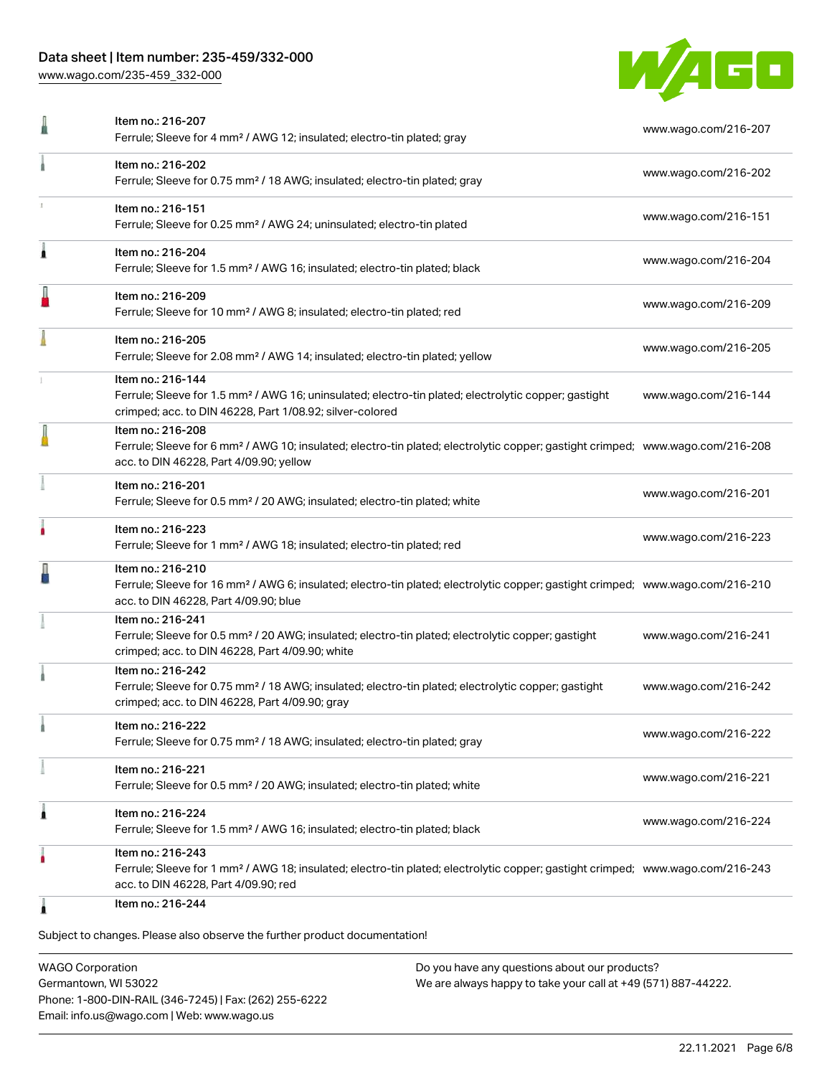### Data sheet | Item number: 235-459/332-000

[www.wago.com/235-459\\_332-000](http://www.wago.com/235-459_332-000)



|   | Item no.: 216-207<br>Ferrule; Sleeve for 4 mm <sup>2</sup> / AWG 12; insulated; electro-tin plated; gray                                                                                                   | www.wago.com/216-207 |
|---|------------------------------------------------------------------------------------------------------------------------------------------------------------------------------------------------------------|----------------------|
|   | Item no.: 216-202<br>Ferrule; Sleeve for 0.75 mm <sup>2</sup> / 18 AWG; insulated; electro-tin plated; gray                                                                                                | www.wago.com/216-202 |
|   | Item no.: 216-151<br>Ferrule; Sleeve for 0.25 mm <sup>2</sup> / AWG 24; uninsulated; electro-tin plated                                                                                                    | www.wago.com/216-151 |
| Â | Item no.: 216-204<br>Ferrule; Sleeve for 1.5 mm <sup>2</sup> / AWG 16; insulated; electro-tin plated; black                                                                                                | www.wago.com/216-204 |
| J | Item no.: 216-209<br>Ferrule; Sleeve for 10 mm <sup>2</sup> / AWG 8; insulated; electro-tin plated; red                                                                                                    | www.wago.com/216-209 |
|   | Item no.: 216-205<br>Ferrule; Sleeve for 2.08 mm <sup>2</sup> / AWG 14; insulated; electro-tin plated; yellow                                                                                              | www.wago.com/216-205 |
|   | Item no.: 216-144<br>Ferrule; Sleeve for 1.5 mm <sup>2</sup> / AWG 16; uninsulated; electro-tin plated; electrolytic copper; gastight<br>crimped; acc. to DIN 46228, Part 1/08.92; silver-colored          | www.wago.com/216-144 |
|   | Item no.: 216-208<br>Ferrule; Sleeve for 6 mm <sup>2</sup> / AWG 10; insulated; electro-tin plated; electrolytic copper; gastight crimped; www.wago.com/216-208<br>acc. to DIN 46228, Part 4/09.90; yellow |                      |
|   | Item no.: 216-201<br>Ferrule; Sleeve for 0.5 mm <sup>2</sup> / 20 AWG; insulated; electro-tin plated; white                                                                                                | www.wago.com/216-201 |
|   | Item no.: 216-223<br>Ferrule; Sleeve for 1 mm <sup>2</sup> / AWG 18; insulated; electro-tin plated; red                                                                                                    | www.wago.com/216-223 |
|   | Item no.: 216-210<br>Ferrule; Sleeve for 16 mm <sup>2</sup> / AWG 6; insulated; electro-tin plated; electrolytic copper; gastight crimped; www.wago.com/216-210<br>acc. to DIN 46228, Part 4/09.90; blue   |                      |
|   | Item no.: 216-241<br>Ferrule; Sleeve for 0.5 mm <sup>2</sup> / 20 AWG; insulated; electro-tin plated; electrolytic copper; gastight<br>crimped; acc. to DIN 46228, Part 4/09.90; white                     | www.wago.com/216-241 |
|   | Item no.: 216-242<br>Ferrule; Sleeve for 0.75 mm <sup>2</sup> / 18 AWG; insulated; electro-tin plated; electrolytic copper; gastight<br>crimped; acc. to DIN 46228, Part 4/09.90; gray                     | www.wago.com/216-242 |
|   | Item no.: 216-222<br>Ferrule; Sleeve for 0.75 mm <sup>2</sup> / 18 AWG; insulated; electro-tin plated; gray                                                                                                | www.wago.com/216-222 |
|   | Item no.: 216-221<br>Ferrule; Sleeve for 0.5 mm <sup>2</sup> / 20 AWG; insulated; electro-tin plated; white                                                                                                | www.wago.com/216-221 |
| 1 | Item no.: 216-224<br>Ferrule; Sleeve for 1.5 mm <sup>2</sup> / AWG 16; insulated; electro-tin plated; black                                                                                                | www.wago.com/216-224 |
|   | Item no.: 216-243<br>Ferrule; Sleeve for 1 mm <sup>2</sup> / AWG 18; insulated; electro-tin plated; electrolytic copper; gastight crimped; www.wago.com/216-243<br>acc. to DIN 46228, Part 4/09.90; red    |                      |
|   | Item no.: 216-244                                                                                                                                                                                          |                      |

Subject to changes. Please also observe the further product documentation!

WAGO Corporation Germantown, WI 53022 Phone: 1-800-DIN-RAIL (346-7245) | Fax: (262) 255-6222 Email: info.us@wago.com | Web: www.wago.us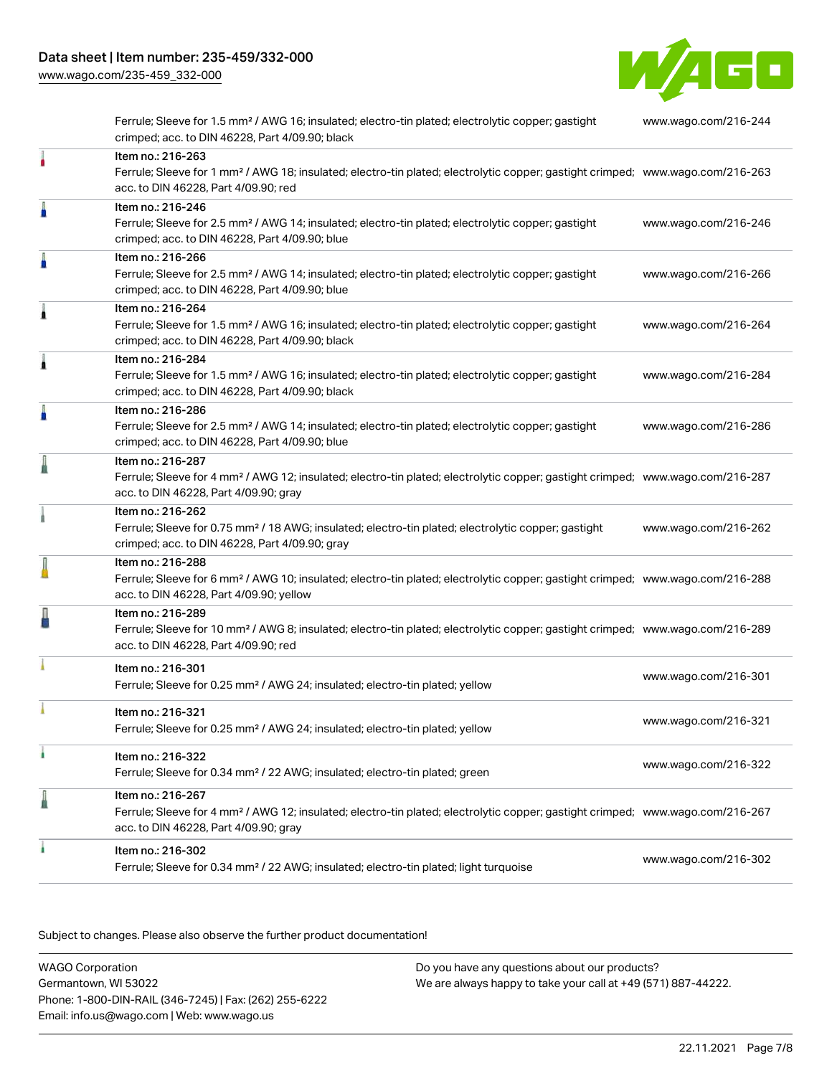[www.wago.com/235-459\\_332-000](http://www.wago.com/235-459_332-000)



Ferrule; Sleeve for 1.5 mm² / AWG 16; insulated; electro-tin plated; electrolytic copper; gastight crimped; acc. to DIN 46228, Part 4/09.90; black [www.wago.com/216-244](http://www.wago.com/216-244) Item no.: 216-263 Ferrule; Sleeve for 1 mm² / AWG 18; insulated; electro-tin plated; electrolytic copper; gastight crimped; [www.wago.com/216-263](http://www.wago.com/216-263) acc. to DIN 46228, Part 4/09.90; red Item no.: 216-246 Ferrule; Sleeve for 2.5 mm² / AWG 14; insulated; electro-tin plated; electrolytic copper; gastight crimped; acc. to DIN 46228, Part 4/09.90; blue [www.wago.com/216-246](http://www.wago.com/216-246) Item no.: 216-266 Ferrule; Sleeve for 2.5 mm² / AWG 14; insulated; electro-tin plated; electrolytic copper; gastight crimped; acc. to DIN 46228, Part 4/09.90; blue [www.wago.com/216-266](http://www.wago.com/216-266) Item no.: 216-264 Ferrule; Sleeve for 1.5 mm² / AWG 16; insulated; electro-tin plated; electrolytic copper; gastight crimped; acc. to DIN 46228, Part 4/09.90; black [www.wago.com/216-264](http://www.wago.com/216-264) Item no.: 216-284 Ferrule; Sleeve for 1.5 mm² / AWG 16; insulated; electro-tin plated; electrolytic copper; gastight crimped; acc. to DIN 46228, Part 4/09.90; black [www.wago.com/216-284](http://www.wago.com/216-284) Item no.: 216-286 Ferrule; Sleeve for 2.5 mm² / AWG 14; insulated; electro-tin plated; electrolytic copper; gastight crimped; acc. to DIN 46228, Part 4/09.90; blue [www.wago.com/216-286](http://www.wago.com/216-286) Item no.: 216-287 Ferrule; Sleeve for 4 mm² / AWG 12; insulated; electro-tin plated; electrolytic copper; gastight crimped; [www.wago.com/216-287](http://www.wago.com/216-287) acc. to DIN 46228, Part 4/09.90; gray Item no.: 216-262 Ferrule; Sleeve for 0.75 mm² / 18 AWG; insulated; electro-tin plated; electrolytic copper; gastight crimped; acc. to DIN 46228, Part 4/09.90; gray [www.wago.com/216-262](http://www.wago.com/216-262) Item no.: 216-288 Ferrule; Sleeve for 6 mm² / AWG 10; insulated; electro-tin plated; electrolytic copper; gastight crimped; [www.wago.com/216-288](http://www.wago.com/216-288) acc. to DIN 46228, Part 4/09.90; yellow Item no.: 216-289 Ferrule; Sleeve for 10 mm² / AWG 8; insulated; electro-tin plated; electrolytic copper; gastight crimped; [www.wago.com/216-289](http://www.wago.com/216-289) acc. to DIN 46228, Part 4/09.90; red Item no.: 216-301 Ferrule; Sleeve for 0.25 mm² / AWG 24; insulated; electro-tin plated; yellow [www.wago.com/216-301](http://www.wago.com/216-301) Item no.: 216-321 Ferrule; Sleeve for 0.25 mm² / AWG 24; insulated; electro-tin plated; yellow [www.wago.com/216-321](http://www.wago.com/216-321) Item no.: 216-322 Ferrule; Sleeve for 0.34 mm² / 22 AWG; insulated; electro-tin plated; green [www.wago.com/216-322](http://www.wago.com/216-322) Item no.: 216-267 Ferrule; Sleeve for 4 mm² / AWG 12; insulated; electro-tin plated; electrolytic copper; gastight crimped; [www.wago.com/216-267](http://www.wago.com/216-267) acc. to DIN 46228, Part 4/09.90; gray Item no.: 216-302 Ferrule; Sleeve for 0.34 mm² / 22 AWG; insulated; electro-tin plated; light turquoise [www.wago.com/216-302](http://www.wago.com/216-302)

.<br>Subject to changes. Please also observe the further product documentation!

WAGO Corporation Germantown, WI 53022 Phone: 1-800-DIN-RAIL (346-7245) | Fax: (262) 255-6222 Email: info.us@wago.com | Web: www.wago.us